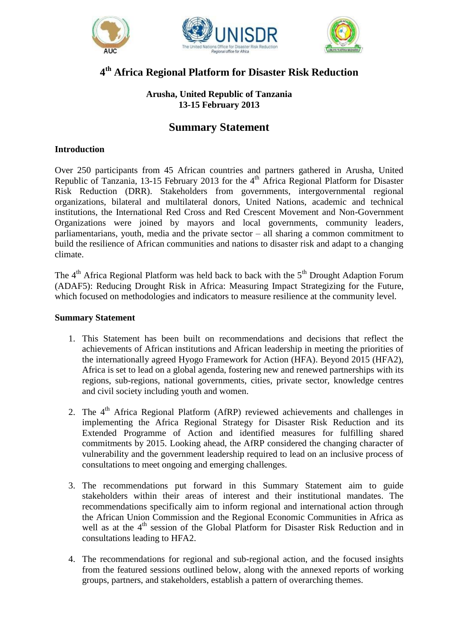





# **4 th Africa Regional Platform for Disaster Risk Reduction**

# **Arusha, United Republic of Tanzania 13-15 February 2013**

# **Summary Statement**

## **Introduction**

Over 250 participants from 45 African countries and partners gathered in Arusha, United Republic of Tanzania, 13-15 February 2013 for the  $4<sup>th</sup>$  Africa Regional Platform for Disaster Risk Reduction (DRR). Stakeholders from governments, intergovernmental regional organizations, bilateral and multilateral donors, United Nations, academic and technical institutions, the International Red Cross and Red Crescent Movement and Non-Government Organizations were joined by mayors and local governments, community leaders, parliamentarians, youth, media and the private sector – all sharing a common commitment to build the resilience of African communities and nations to disaster risk and adapt to a changing climate.

The  $4<sup>th</sup>$  Africa Regional Platform was held back to back with the  $5<sup>th</sup>$  Drought Adaption Forum (ADAF5): Reducing Drought Risk in Africa: Measuring Impact Strategizing for the Future, which focused on methodologies and indicators to measure resilience at the community level.

#### **Summary Statement**

- 1. This Statement has been built on recommendations and decisions that reflect the achievements of African institutions and African leadership in meeting the priorities of the internationally agreed Hyogo Framework for Action (HFA). Beyond 2015 (HFA2), Africa is set to lead on a global agenda, fostering new and renewed partnerships with its regions, sub-regions, national governments, cities, private sector, knowledge centres and civil society including youth and women.
- 2. The  $4<sup>th</sup>$  Africa Regional Platform (AfRP) reviewed achievements and challenges in implementing the Africa Regional Strategy for Disaster Risk Reduction and its Extended Programme of Action and identified measures for fulfilling shared commitments by 2015. Looking ahead, the AfRP considered the changing character of vulnerability and the government leadership required to lead on an inclusive process of consultations to meet ongoing and emerging challenges.
- 3. The recommendations put forward in this Summary Statement aim to guide stakeholders within their areas of interest and their institutional mandates. The recommendations specifically aim to inform regional and international action through the African Union Commission and the Regional Economic Communities in Africa as well as at the 4<sup>th</sup> session of the Global Platform for Disaster Risk Reduction and in consultations leading to HFA2.
- 4. The recommendations for regional and sub-regional action, and the focused insights from the featured sessions outlined below, along with the annexed reports of working groups, partners, and stakeholders, establish a pattern of overarching themes.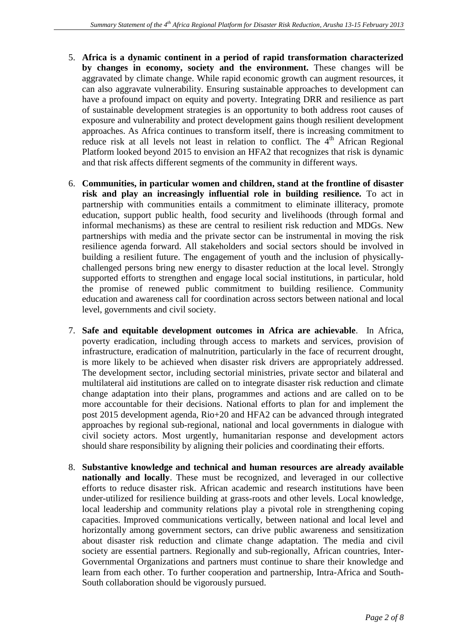- 5. **Africa is a dynamic continent in a period of rapid transformation characterized by changes in economy, society and the environment.** These changes will be aggravated by climate change. While rapid economic growth can augment resources, it can also aggravate vulnerability. Ensuring sustainable approaches to development can have a profound impact on equity and poverty. Integrating DRR and resilience as part of sustainable development strategies is an opportunity to both address root causes of exposure and vulnerability and protect development gains though resilient development approaches. As Africa continues to transform itself, there is increasing commitment to reduce risk at all levels not least in relation to conflict. The 4<sup>th</sup> African Regional Platform looked beyond 2015 to envision an HFA2 that recognizes that risk is dynamic and that risk affects different segments of the community in different ways.
- 6. **Communities, in particular women and children, stand at the frontline of disaster risk and play an increasingly influential role in building resilience.** To act in partnership with communities entails a commitment to eliminate illiteracy, promote education, support public health, food security and livelihoods (through formal and informal mechanisms) as these are central to resilient risk reduction and MDGs. New partnerships with media and the private sector can be instrumental in moving the risk resilience agenda forward. All stakeholders and social sectors should be involved in building a resilient future. The engagement of youth and the inclusion of physicallychallenged persons bring new energy to disaster reduction at the local level. Strongly supported efforts to strengthen and engage local social institutions, in particular, hold the promise of renewed public commitment to building resilience. Community education and awareness call for coordination across sectors between national and local level, governments and civil society.
- 7. **Safe and equitable development outcomes in Africa are achievable**. In Africa, poverty eradication, including through access to markets and services, provision of infrastructure, eradication of malnutrition, particularly in the face of recurrent drought, is more likely to be achieved when disaster risk drivers are appropriately addressed. The development sector, including sectorial ministries, private sector and bilateral and multilateral aid institutions are called on to integrate disaster risk reduction and climate change adaptation into their plans, programmes and actions and are called on to be more accountable for their decisions. National efforts to plan for and implement the post 2015 development agenda, Rio+20 and HFA2 can be advanced through integrated approaches by regional sub-regional, national and local governments in dialogue with civil society actors. Most urgently, humanitarian response and development actors should share responsibility by aligning their policies and coordinating their efforts.
- 8. **Substantive knowledge and technical and human resources are already available nationally and locally**. These must be recognized, and leveraged in our collective efforts to reduce disaster risk. African academic and research institutions have been under-utilized for resilience building at grass-roots and other levels. Local knowledge, local leadership and community relations play a pivotal role in strengthening coping capacities. Improved communications vertically, between national and local level and horizontally among government sectors, can drive public awareness and sensitization about disaster risk reduction and climate change adaptation. The media and civil society are essential partners. Regionally and sub-regionally, African countries, Inter-Governmental Organizations and partners must continue to share their knowledge and learn from each other. To further cooperation and partnership, Intra-Africa and South-South collaboration should be vigorously pursued.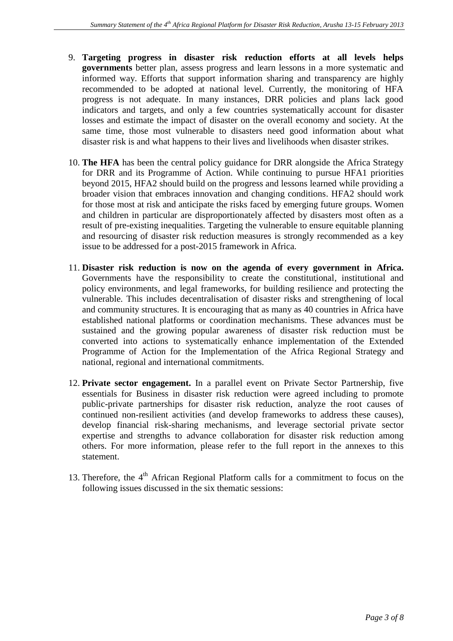- 9. **Targeting progress in disaster risk reduction efforts at all levels helps governments** better plan, assess progress and learn lessons in a more systematic and informed way. Efforts that support information sharing and transparency are highly recommended to be adopted at national level. Currently, the monitoring of HFA progress is not adequate. In many instances, DRR policies and plans lack good indicators and targets, and only a few countries systematically account for disaster losses and estimate the impact of disaster on the overall economy and society. At the same time, those most vulnerable to disasters need good information about what disaster risk is and what happens to their lives and livelihoods when disaster strikes.
- 10. **The HFA** has been the central policy guidance for DRR alongside the Africa Strategy for DRR and its Programme of Action. While continuing to pursue HFA1 priorities beyond 2015, HFA2 should build on the progress and lessons learned while providing a broader vision that embraces innovation and changing conditions. HFA2 should work for those most at risk and anticipate the risks faced by emerging future groups. Women and children in particular are disproportionately affected by disasters most often as a result of pre-existing inequalities. Targeting the vulnerable to ensure equitable planning and resourcing of disaster risk reduction measures is strongly recommended as a key issue to be addressed for a post-2015 framework in Africa.
- 11. **Disaster risk reduction is now on the agenda of every government in Africa.** Governments have the responsibility to create the constitutional, institutional and policy environments, and legal frameworks, for building resilience and protecting the vulnerable. This includes decentralisation of disaster risks and strengthening of local and community structures. It is encouraging that as many as 40 countries in Africa have established national platforms or coordination mechanisms. These advances must be sustained and the growing popular awareness of disaster risk reduction must be converted into actions to systematically enhance implementation of the Extended Programme of Action for the Implementation of the Africa Regional Strategy and national, regional and international commitments.
- 12. **Private sector engagement.** In a parallel event on Private Sector Partnership, five essentials for Business in disaster risk reduction were agreed including to promote public-private partnerships for disaster risk reduction, analyze the root causes of continued non-resilient activities (and develop frameworks to address these causes), develop financial risk-sharing mechanisms, and leverage sectorial private sector expertise and strengths to advance collaboration for disaster risk reduction among others. For more information, please refer to the full report in the annexes to this statement.
- 13. Therefore, the  $4<sup>th</sup>$  African Regional Platform calls for a commitment to focus on the following issues discussed in the six thematic sessions: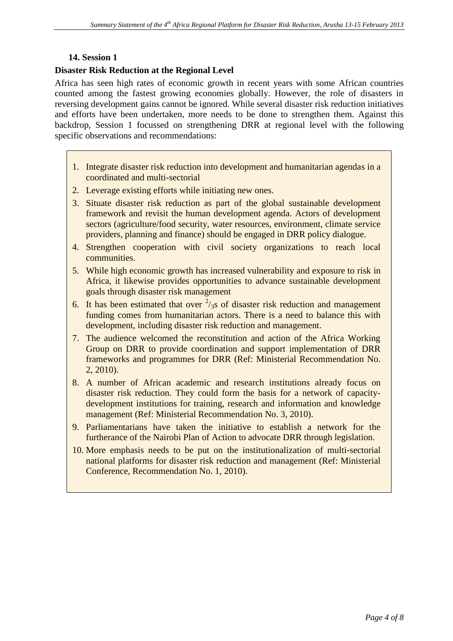#### **14. Session 1**

#### **Disaster Risk Reduction at the Regional Level**

Africa has seen high rates of economic growth in recent years with some African countries counted among the fastest growing economies globally. However, the role of disasters in reversing development gains cannot be ignored. While several disaster risk reduction initiatives and efforts have been undertaken, more needs to be done to strengthen them. Against this backdrop, Session 1 focussed on strengthening DRR at regional level with the following specific observations and recommendations:

- 1. Integrate disaster risk reduction into development and humanitarian agendas in a coordinated and multi-sectorial
- 2. Leverage existing efforts while initiating new ones.
- 3. Situate disaster risk reduction as part of the global sustainable development framework and revisit the human development agenda. Actors of development sectors (agriculture/food security, water resources, environment, climate service providers, planning and finance) should be engaged in DRR policy dialogue.
- 4. Strengthen cooperation with civil society organizations to reach local communities.
- 5. While high economic growth has increased vulnerability and exposure to risk in Africa, it likewise provides opportunities to advance sustainable development goals through disaster risk management
- 6. It has been estimated that over  $\frac{2}{3}$  of disaster risk reduction and management funding comes from humanitarian actors. There is a need to balance this with development, including disaster risk reduction and management.
- 7. The audience welcomed the reconstitution and action of the Africa Working Group on DRR to provide coordination and support implementation of DRR frameworks and programmes for DRR (Ref: Ministerial Recommendation No. 2, 2010).
- 8. A number of African academic and research institutions already focus on disaster risk reduction. They could form the basis for a network of capacitydevelopment institutions for training, research and information and knowledge management (Ref: Ministerial Recommendation No. 3, 2010).
- 9. Parliamentarians have taken the initiative to establish a network for the furtherance of the Nairobi Plan of Action to advocate DRR through legislation.
- 10. More emphasis needs to be put on the institutionalization of multi-sectorial national platforms for disaster risk reduction and management (Ref: Ministerial Conference, Recommendation No. 1, 2010).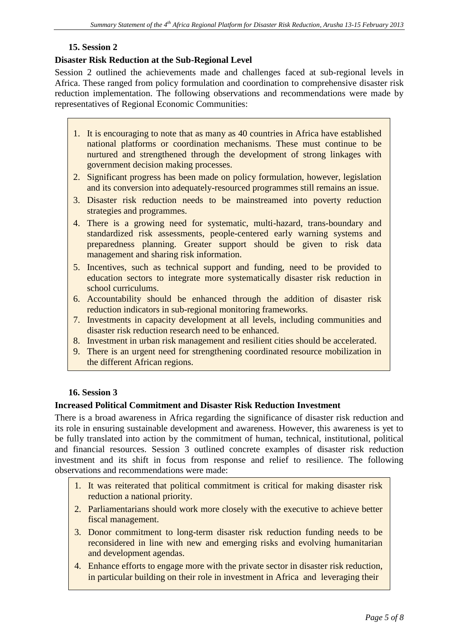## **15. Session 2**

#### **Disaster Risk Reduction at the Sub-Regional Level**

Session 2 outlined the achievements made and challenges faced at sub-regional levels in Africa. These ranged from policy formulation and coordination to comprehensive disaster risk reduction implementation. The following observations and recommendations were made by representatives of Regional Economic Communities:

- 1. It is encouraging to note that as many as 40 countries in Africa have established national platforms or coordination mechanisms. These must continue to be nurtured and strengthened through the development of strong linkages with government decision making processes.
- 2. Significant progress has been made on policy formulation, however, legislation and its conversion into adequately-resourced programmes still remains an issue.
- 3. Disaster risk reduction needs to be mainstreamed into poverty reduction strategies and programmes.
- 4. There is a growing need for systematic, multi-hazard, trans-boundary and standardized risk assessments, people-centered early warning systems and preparedness planning. Greater support should be given to risk data management and sharing risk information.
- 5. Incentives, such as technical support and funding, need to be provided to education sectors to integrate more systematically disaster risk reduction in school curriculums.
- 6. Accountability should be enhanced through the addition of disaster risk reduction indicators in sub-regional monitoring frameworks.
- 7. Investments in capacity development at all levels, including communities and disaster risk reduction research need to be enhanced.
- 8. Investment in urban risk management and resilient cities should be accelerated.
- 9. There is an urgent need for strengthening coordinated resource mobilization in the different African regions.

#### **16. Session 3**

### **Increased Political Commitment and Disaster Risk Reduction Investment**

There is a broad awareness in Africa regarding the significance of disaster risk reduction and its role in ensuring sustainable development and awareness. However, this awareness is yet to be fully translated into action by the commitment of human, technical, institutional, political and financial resources. Session 3 outlined concrete examples of disaster risk reduction investment and its shift in focus from response and relief to resilience. The following observations and recommendations were made:

- 1. It was reiterated that political commitment is critical for making disaster risk reduction a national priority.
- 2. Parliamentarians should work more closely with the executive to achieve better fiscal management.
- 3. Donor commitment to long-term disaster risk reduction funding needs to be reconsidered in line with new and emerging risks and evolving humanitarian and development agendas.
- 4. Enhance efforts to engage more with the private sector in disaster risk reduction, in particular building on their role in investment in Africa and leveraging their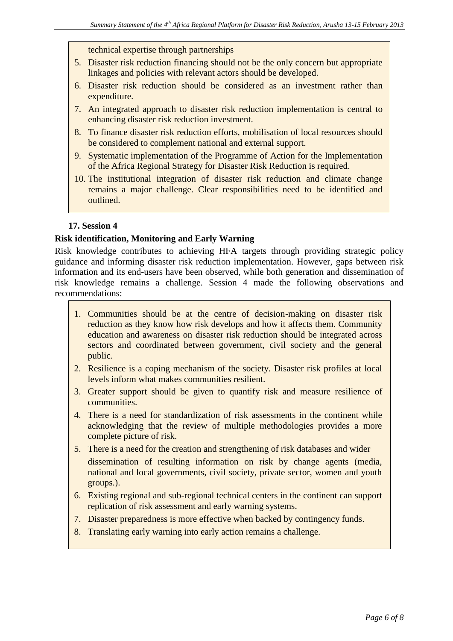technical expertise through partnerships

- 5. Disaster risk reduction financing should not be the only concern but appropriate linkages and policies with relevant actors should be developed.
- 6. Disaster risk reduction should be considered as an investment rather than expenditure.
- 7. An integrated approach to disaster risk reduction implementation is central to enhancing disaster risk reduction investment.
- 8. To finance disaster risk reduction efforts, mobilisation of local resources should be considered to complement national and external support.
- 9. Systematic implementation of the Programme of Action for the Implementation of the Africa Regional Strategy for Disaster Risk Reduction is required.
- 10. The institutional integration of disaster risk reduction and climate change remains a major challenge. Clear responsibilities need to be identified and outlined.

#### **17. Session 4**

#### **Risk identification, Monitoring and Early Warning**

Risk knowledge contributes to achieving HFA targets through providing strategic policy guidance and informing disaster risk reduction implementation. However, gaps between risk information and its end-users have been observed, while both generation and dissemination of risk knowledge remains a challenge. Session 4 made the following observations and recommendations:

- 1. Communities should be at the centre of decision-making on disaster risk reduction as they know how risk develops and how it affects them. Community education and awareness on disaster risk reduction should be integrated across sectors and coordinated between government, civil society and the general public.
- 2. Resilience is a coping mechanism of the society. Disaster risk profiles at local levels inform what makes communities resilient.
- 3. Greater support should be given to quantify risk and measure resilience of communities.
- 4. There is a need for standardization of risk assessments in the continent while acknowledging that the review of multiple methodologies provides a more complete picture of risk.
- 5. There is a need for the creation and strengthening of risk databases and wider dissemination of resulting information on risk by change agents (media, national and local governments, civil society, private sector, women and youth groups.).
- 6. Existing regional and sub-regional technical centers in the continent can support replication of risk assessment and early warning systems.
- 7. Disaster preparedness is more effective when backed by contingency funds.
- 8. Translating early warning into early action remains a challenge.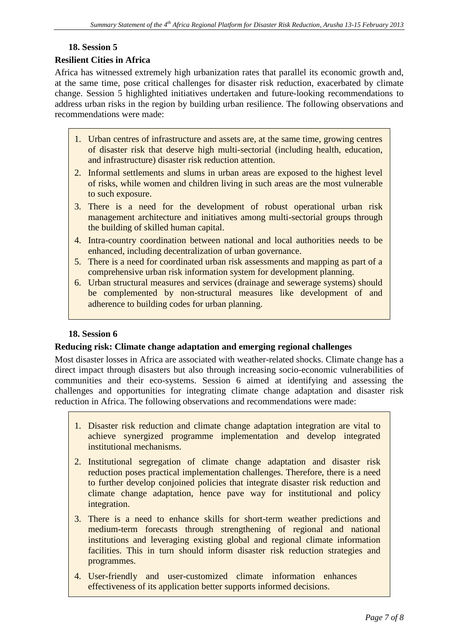# **18. Session 5**

## **Resilient Cities in Africa**

Africa has witnessed extremely high urbanization rates that parallel its economic growth and, at the same time, pose critical challenges for disaster risk reduction, exacerbated by climate change. Session 5 highlighted initiatives undertaken and future-looking recommendations to address urban risks in the region by building urban resilience. The following observations and recommendations were made:

- 1. Urban centres of infrastructure and assets are, at the same time, growing centres of disaster risk that deserve high multi-sectorial (including health, education, and infrastructure) disaster risk reduction attention.
- 2. Informal settlements and slums in urban areas are exposed to the highest level of risks, while women and children living in such areas are the most vulnerable to such exposure.
- 3. There is a need for the development of robust operational urban risk management architecture and initiatives among multi-sectorial groups through the building of skilled human capital.
- 4. Intra-country coordination between national and local authorities needs to be enhanced, including decentralization of urban governance.
- 5. There is a need for coordinated urban risk assessments and mapping as part of a comprehensive urban risk information system for development planning.
- 6. Urban structural measures and services (drainage and sewerage systems) should be complemented by non-structural measures like development of and adherence to building codes for urban planning.

#### **18. Session 6**

#### **Reducing risk: Climate change adaptation and emerging regional challenges**

Most disaster losses in Africa are associated with weather-related shocks. Climate change has a direct impact through disasters but also through increasing socio-economic vulnerabilities of communities and their eco-systems. Session 6 aimed at identifying and assessing the challenges and opportunities for integrating climate change adaptation and disaster risk reduction in Africa. The following observations and recommendations were made:

- 1. Disaster risk reduction and climate change adaptation integration are vital to achieve synergized programme implementation and develop integrated institutional mechanisms.
- 2. Institutional segregation of climate change adaptation and disaster risk reduction poses practical implementation challenges. Therefore, there is a need to further develop conjoined policies that integrate disaster risk reduction and climate change adaptation, hence pave way for institutional and policy integration.
- 3. There is a need to enhance skills for short-term weather predictions and medium-term forecasts through strengthening of regional and national institutions and leveraging existing global and regional climate information facilities. This in turn should inform disaster risk reduction strategies and programmes.
- 4. User-friendly and user-customized climate information enhances effectiveness of its application better supports informed decisions.